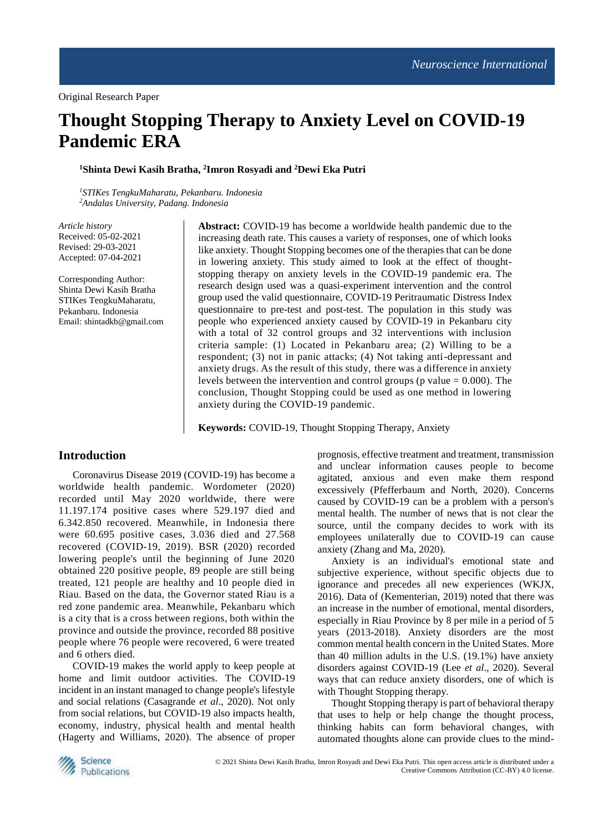# **Thought Stopping Therapy to Anxiety Level on COVID-19 Pandemic ERA**

**<sup>1</sup>Shinta Dewi Kasih Bratha, <sup>2</sup> Imron Rosyadi and <sup>2</sup>Dewi Eka Putri**

*<sup>1</sup>STIKes TengkuMaharatu, Pekanbaru. Indonesia <sup>2</sup>Andalas University, Padang. Indonesia*

*Article history* Received: 05-02-2021 Revised: 29-03-2021 Accepted: 07-04-2021

Corresponding Author: Shinta Dewi Kasih Bratha STIKes TengkuMaharatu, Pekanbaru. Indonesia Email: shintadkb@gmail.com **Abstract:** COVID-19 has become a worldwide health pandemic due to the increasing death rate. This causes a variety of responses, one of which looks like anxiety. Thought Stopping becomes one of the therapies that can be done in lowering anxiety. This study aimed to look at the effect of thoughtstopping therapy on anxiety levels in the COVID-19 pandemic era. The research design used was a quasi-experiment intervention and the control group used the valid questionnaire, COVID-19 Peritraumatic Distress Index questionnaire to pre-test and post-test. The population in this study was people who experienced anxiety caused by COVID-19 in Pekanbaru city with a total of 32 control groups and 32 interventions with inclusion criteria sample: (1) Located in Pekanbaru area; (2) Willing to be a respondent; (3) not in panic attacks; (4) Not taking anti-depressant and anxiety drugs. As the result of this study, there was a difference in anxiety levels between the intervention and control groups ( $p$  value  $= 0.000$ ). The conclusion, Thought Stopping could be used as one method in lowering anxiety during the COVID-19 pandemic.

**Keywords:** COVID-19, Thought Stopping Therapy, Anxiety

## **Introduction**

Coronavirus Disease 2019 (COVID-19) has become a worldwide health pandemic. Wordometer (2020) recorded until May 2020 worldwide, there were 11.197.174 positive cases where 529.197 died and 6.342.850 recovered. Meanwhile, in Indonesia there were 60.695 positive cases, 3.036 died and 27.568 recovered (COVID-19, 2019). BSR (2020) recorded lowering people's until the beginning of June 2020 obtained 220 positive people, 89 people are still being treated, 121 people are healthy and 10 people died in Riau. Based on the data, the Governor stated Riau is a red zone pandemic area. Meanwhile, Pekanbaru which is a city that is a cross between regions, both within the province and outside the province, recorded 88 positive people where 76 people were recovered, 6 were treated and 6 others died.

COVID-19 makes the world apply to keep people at home and limit outdoor activities. The COVID-19 incident in an instant managed to change people's lifestyle and social relations (Casagrande *et al*., 2020). Not only from social relations, but COVID-19 also impacts health, economy, industry, physical health and mental health (Hagerty and Williams, 2020). The absence of proper

prognosis, effective treatment and treatment, transmission and unclear information causes people to become agitated, anxious and even make them respond excessively (Pfefferbaum and North, 2020). Concerns caused by COVID-19 can be a problem with a person's mental health. The number of news that is not clear the source, until the company decides to work with its employees unilaterally due to COVID-19 can cause anxiety (Zhang and Ma, 2020).

Anxiety is an individual's emotional state and subjective experience, without specific objects due to ignorance and precedes all new experiences (WKJX, 2016). Data of (Kementerian, 2019) noted that there was an increase in the number of emotional, mental disorders, especially in Riau Province by 8 per mile in a period of 5 years (2013-2018). Anxiety disorders are the most common mental health concern in the United States. More than 40 million adults in the U.S. (19.1%) have anxiety disorders against COVID-19 (Lee *et al*., 2020). Several ways that can reduce anxiety disorders, one of which is with Thought Stopping therapy.

Thought Stopping therapy is part of behavioral therapy that uses to help or help change the thought process, thinking habits can form behavioral changes, with automated thoughts alone can provide clues to the mind-

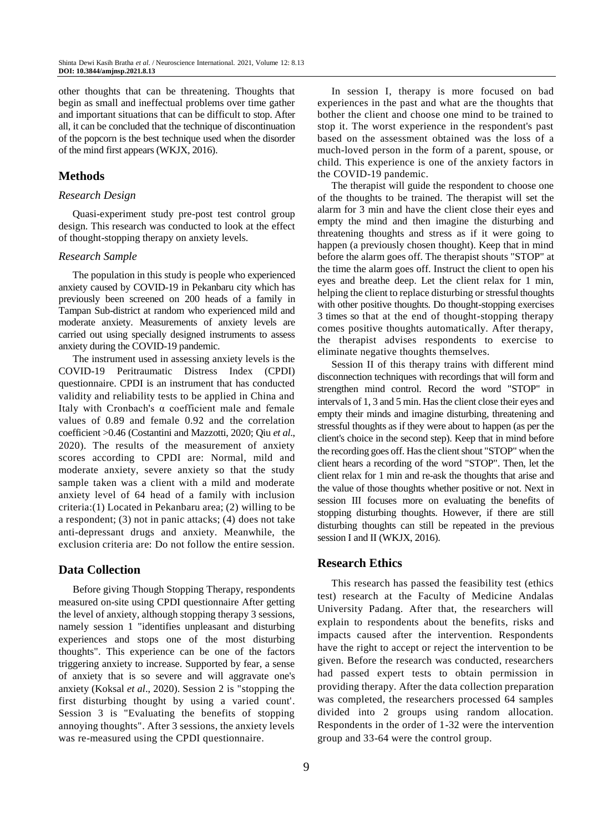other thoughts that can be threatening. Thoughts that begin as small and ineffectual problems over time gather and important situations that can be difficult to stop. After all, it can be concluded that the technique of discontinuation of the popcorn is the best technique used when the disorder of the mind first appears (WKJX, 2016).

## **Methods**

#### *Research Design*

Quasi-experiment study pre-post test control group design. This research was conducted to look at the effect of thought-stopping therapy on anxiety levels.

#### *Research Sample*

The population in this study is people who experienced anxiety caused by COVID-19 in Pekanbaru city which has previously been screened on 200 heads of a family in Tampan Sub-district at random who experienced mild and moderate anxiety. Measurements of anxiety levels are carried out using specially designed instruments to assess anxiety during the COVID-19 pandemic.

The instrument used in assessing anxiety levels is the COVID-19 Peritraumatic Distress Index (CPDI) questionnaire. CPDI is an instrument that has conducted validity and reliability tests to be applied in China and Italy with Cronbach's α coefficient male and female values of 0.89 and female 0.92 and the correlation coefficient >0.46 (Costantini and Mazzotti, 2020; Qiu *et al*., 2020). The results of the measurement of anxiety scores according to CPDI are: Normal, mild and moderate anxiety, severe anxiety so that the study sample taken was a client with a mild and moderate anxiety level of 64 head of a family with inclusion criteria:(1) Located in Pekanbaru area; (2) willing to be a respondent; (3) not in panic attacks; (4) does not take anti-depressant drugs and anxiety. Meanwhile, the exclusion criteria are: Do not follow the entire session.

## **Data Collection**

Before giving Though Stopping Therapy, respondents measured on-site using CPDI questionnaire After getting the level of anxiety, although stopping therapy 3 sessions, namely session 1 "identifies unpleasant and disturbing experiences and stops one of the most disturbing thoughts". This experience can be one of the factors triggering anxiety to increase. Supported by fear, a sense of anxiety that is so severe and will aggravate one's anxiety (Koksal *et al*., 2020). Session 2 is "stopping the first disturbing thought by using a varied count'. Session 3 is "Evaluating the benefits of stopping annoying thoughts". After 3 sessions, the anxiety levels was re-measured using the CPDI questionnaire.

In session I, therapy is more focused on bad experiences in the past and what are the thoughts that bother the client and choose one mind to be trained to stop it. The worst experience in the respondent's past based on the assessment obtained was the loss of a much-loved person in the form of a parent, spouse, or child. This experience is one of the anxiety factors in the COVID-19 pandemic.

The therapist will guide the respondent to choose one of the thoughts to be trained. The therapist will set the alarm for 3 min and have the client close their eyes and empty the mind and then imagine the disturbing and threatening thoughts and stress as if it were going to happen (a previously chosen thought). Keep that in mind before the alarm goes off. The therapist shouts "STOP" at the time the alarm goes off. Instruct the client to open his eyes and breathe deep. Let the client relax for 1 min, helping the client to replace disturbing or stressful thoughts with other positive thoughts. Do thought-stopping exercises 3 times so that at the end of thought-stopping therapy comes positive thoughts automatically. After therapy, the therapist advises respondents to exercise to eliminate negative thoughts themselves.

Session II of this therapy trains with different mind disconnection techniques with recordings that will form and strengthen mind control. Record the word "STOP" in intervals of 1, 3 and 5 min. Has the client close their eyes and empty their minds and imagine disturbing, threatening and stressful thoughts as if they were about to happen (as per the client's choice in the second step). Keep that in mind before the recording goes off. Has the client shout "STOP" when the client hears a recording of the word "STOP". Then, let the client relax for 1 min and re-ask the thoughts that arise and the value of those thoughts whether positive or not. Next in session III focuses more on evaluating the benefits of stopping disturbing thoughts. However, if there are still disturbing thoughts can still be repeated in the previous session I and II (WKJX, 2016).

## **Research Ethics**

This research has passed the feasibility test (ethics test) research at the Faculty of Medicine Andalas University Padang. After that, the researchers will explain to respondents about the benefits, risks and impacts caused after the intervention. Respondents have the right to accept or reject the intervention to be given. Before the research was conducted, researchers had passed expert tests to obtain permission in providing therapy. After the data collection preparation was completed, the researchers processed 64 samples divided into 2 groups using random allocation. Respondents in the order of 1-32 were the intervention group and 33-64 were the control group.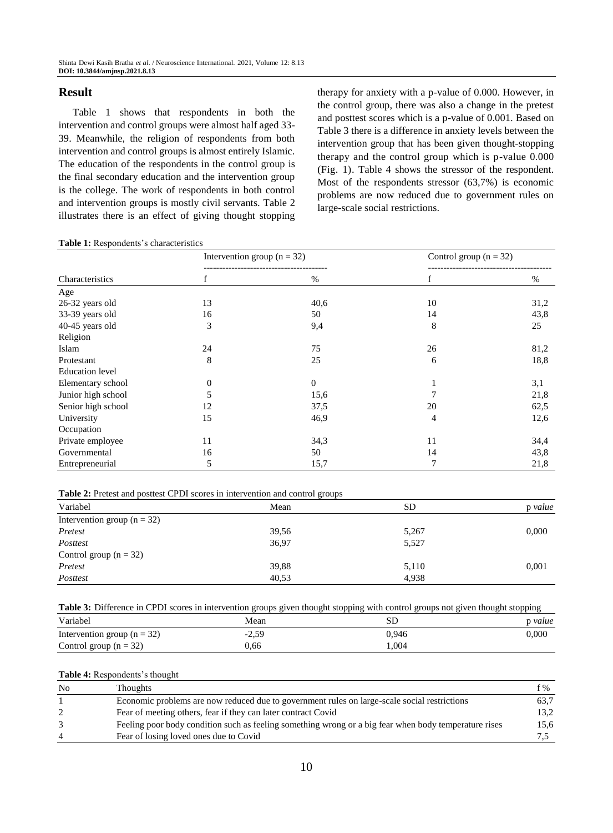## **Result**

Table 1 shows that respondents in both the intervention and control groups were almost half aged 33- 39. Meanwhile, the religion of respondents from both intervention and control groups is almost entirely Islamic. The education of the respondents in the control group is the final secondary education and the intervention group is the college. The work of respondents in both control and intervention groups is mostly civil servants. Table 2 illustrates there is an effect of giving thought stopping therapy for anxiety with a p-value of 0.000. However, in the control group, there was also a change in the pretest and posttest scores which is a p-value of 0.001. Based on Table 3 there is a difference in anxiety levels between the intervention group that has been given thought-stopping therapy and the control group which is p-value 0.000 (Fig. 1). Table 4 shows the stressor of the respondent. Most of the respondents stressor (63,7%) is economic problems are now reduced due to government rules on large-scale social restrictions.

#### **Table 1:** Respondents's characteristics

| Characteristics        | Intervention group ( $n = 32$ ) |                  | Control group $(n = 32)$ |      |
|------------------------|---------------------------------|------------------|--------------------------|------|
|                        | f                               | $\%$             | f                        | %    |
| Age                    |                                 |                  |                          |      |
| 26-32 years old        | 13                              | 40,6             | 10                       | 31,2 |
| 33-39 years old        | 16                              | 50               | 14                       | 43,8 |
| 40-45 years old        | 3                               | 9,4              | 8                        | 25   |
| Religion               |                                 |                  |                          |      |
| Islam                  | 24                              | 75               | 26                       | 81,2 |
| Protestant             | 8                               | 25               | 6                        | 18,8 |
| <b>Education</b> level |                                 |                  |                          |      |
| Elementary school      | $\mathbf{0}$                    | $\boldsymbol{0}$ |                          | 3,1  |
| Junior high school     | 5                               | 15,6             | 7                        | 21,8 |
| Senior high school     | 12                              | 37,5             | 20                       | 62,5 |
| University             | 15                              | 46,9             | 4                        | 12,6 |
| Occupation             |                                 |                  |                          |      |
| Private employee       | 11                              | 34,3             | 11                       | 34,4 |
| Governmental           | 16                              | 50               | 14                       | 43,8 |
| Entrepreneurial        | 5                               | 15,7             | 7                        | 21,8 |

**Table 2:** Pretest and posttest CPDI scores in intervention and control groups

|                                 | ັ     |           |         |
|---------------------------------|-------|-----------|---------|
| Variabel                        | Mean  | <b>SD</b> | p value |
| Intervention group ( $n = 32$ ) |       |           |         |
| Pretest                         | 39,56 | 5,267     | 0,000   |
| Posttest                        | 36,97 | 5,527     |         |
| Control group $(n = 32)$        |       |           |         |
| Pretest                         | 39,88 | 5,110     | 0,001   |
| Posttest                        | 40,53 | 4,938     |         |

**Table 3:** Difference in CPDI scores in intervention groups given thought stopping with control groups not given thought stopping

| Variabel                        | Mean    | SГ    | p value   |
|---------------------------------|---------|-------|-----------|
| Intervention group ( $n = 32$ ) | $-2,59$ | 0.946 | $0.000\,$ |
| Control group $(n = 32)$        | 0.66    | 1.004 |           |

#### **Table 4:** Respondents's thought

| N <sub>0</sub> | <b>Thoughts</b>                                                                                       | f %  |
|----------------|-------------------------------------------------------------------------------------------------------|------|
|                | Economic problems are now reduced due to government rules on large-scale social restrictions          | 63.7 |
|                | Fear of meeting others, fear if they can later contract Covid                                         | 13.2 |
|                | Feeling poor body condition such as feeling something wrong or a big fear when body temperature rises | 15,6 |
|                | Fear of losing loved ones due to Covid                                                                |      |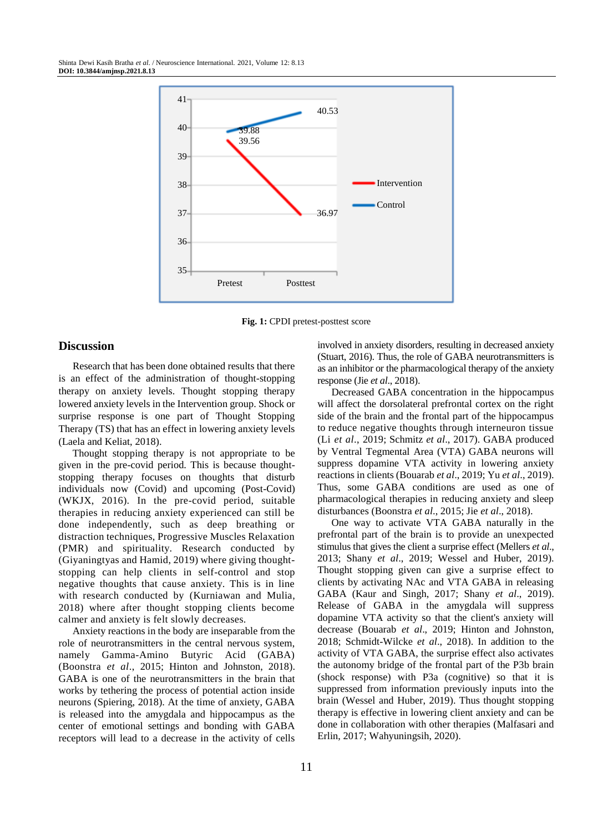

**Fig. 1:** CPDI pretest-posttest score

## **Discussion**

Research that has been done obtained results that there is an effect of the administration of thought-stopping therapy on anxiety levels. Thought stopping therapy lowered anxiety levels in the Intervention group. Shock or surprise response is one part of Thought Stopping Therapy (TS) that has an effect in lowering anxiety levels (Laela and Keliat, 2018).

Thought stopping therapy is not appropriate to be given in the pre-covid period. This is because thoughtstopping therapy focuses on thoughts that disturb individuals now (Covid) and upcoming (Post-Covid) (WKJX, 2016). In the pre-covid period, suitable therapies in reducing anxiety experienced can still be done independently, such as deep breathing or distraction techniques, Progressive Muscles Relaxation (PMR) and spirituality. Research conducted by (Giyaningtyas and Hamid, 2019) where giving thoughtstopping can help clients in self-control and stop negative thoughts that cause anxiety. This is in line with research conducted by (Kurniawan and Mulia, 2018) where after thought stopping clients become calmer and anxiety is felt slowly decreases.

Anxiety reactions in the body are inseparable from the role of neurotransmitters in the central nervous system, namely Gamma-Amino Butyric Acid (GABA) (Boonstra *et al*., 2015; Hinton and Johnston, 2018). GABA is one of the neurotransmitters in the brain that works by tethering the process of potential action inside neurons (Spiering, 2018). At the time of anxiety, GABA is released into the amygdala and hippocampus as the center of emotional settings and bonding with GABA receptors will lead to a decrease in the activity of cells involved in anxiety disorders, resulting in decreased anxiety (Stuart, 2016). Thus, the role of GABA neurotransmitters is as an inhibitor or the pharmacological therapy of the anxiety response (Jie *et al*., 2018).

Decreased GABA concentration in the hippocampus will affect the dorsolateral prefrontal cortex on the right side of the brain and the frontal part of the hippocampus to reduce negative thoughts through interneuron tissue (Li *et al*., 2019; Schmitz *et al*., 2017). GABA produced by Ventral Tegmental Area (VTA) GABA neurons will suppress dopamine VTA activity in lowering anxiety reactions in clients (Bouarab *et al*., 2019; Yu *et al*., 2019). Thus, some GABA conditions are used as one of pharmacological therapies in reducing anxiety and sleep disturbances (Boonstra *et al*., 2015; Jie *et al*., 2018).

One way to activate VTA GABA naturally in the prefrontal part of the brain is to provide an unexpected stimulus that gives the client a surprise effect (Mellers *et al*., 2013; Shany *et al*., 2019; Wessel and Huber, 2019). Thought stopping given can give a surprise effect to clients by activating NAc and VTA GABA in releasing GABA (Kaur and Singh, 2017; Shany *et al*., 2019). Release of GABA in the amygdala will suppress dopamine VTA activity so that the client's anxiety will decrease (Bouarab *et al*., 2019; Hinton and Johnston, 2018; Schmidt-Wilcke *et al*., 2018). In addition to the activity of VTA GABA, the surprise effect also activates the autonomy bridge of the frontal part of the P3b brain (shock response) with P3a (cognitive) so that it is suppressed from information previously inputs into the brain (Wessel and Huber, 2019). Thus thought stopping therapy is effective in lowering client anxiety and can be done in collaboration with other therapies (Malfasari and Erlin, 2017; Wahyuningsih, 2020).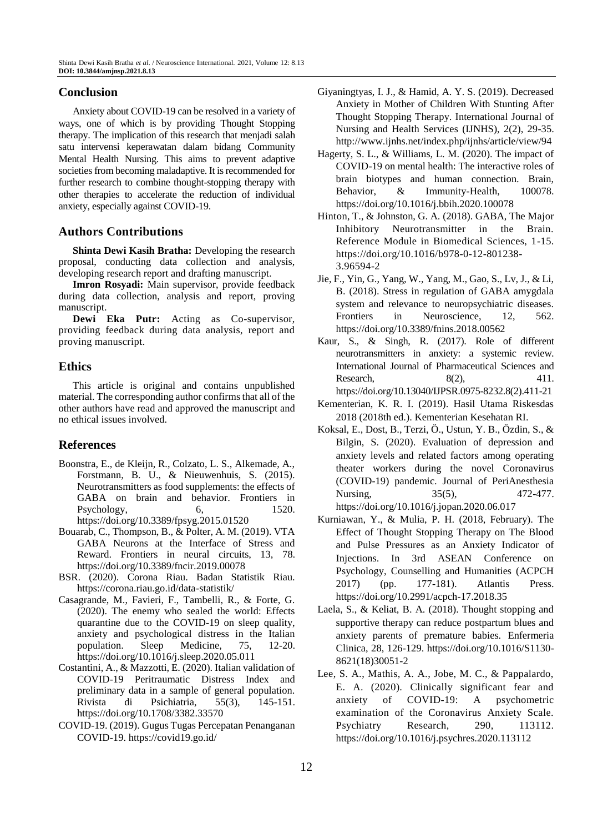# **Conclusion**

Anxiety about COVID-19 can be resolved in a variety of ways, one of which is by providing Thought Stopping therapy. The implication of this research that menjadi salah satu intervensi keperawatan dalam bidang Community Mental Health Nursing. This aims to prevent adaptive societies from becoming maladaptive. It is recommended for further research to combine thought-stopping therapy with other therapies to accelerate the reduction of individual anxiety, especially against COVID-19.

# **Authors Contributions**

**Shinta Dewi Kasih Bratha:** Developing the research proposal, conducting data collection and analysis, developing research report and drafting manuscript.

**Imron Rosyadi:** Main supervisor, provide feedback during data collection, analysis and report, proving manuscript.

**Dewi Eka Putr:** Acting as Co-supervisor, providing feedback during data analysis, report and proving manuscript.

## **Ethics**

This article is original and contains unpublished material. The corresponding author confirms that all of the other authors have read and approved the manuscript and no ethical issues involved.

# **References**

- Boonstra, E., de Kleijn, R., Colzato, L. S., Alkemade, A., Forstmann, B. U., & Nieuwenhuis, S. (2015). Neurotransmitters as food supplements: the effects of GABA on brain and behavior. Frontiers in Psychology, 6, 1520. <https://doi.org/10.3389/fpsyg.2015.01520>
- Bouarab, C., Thompson, B., & Polter, A. M. (2019). VTA GABA Neurons at the Interface of Stress and Reward. Frontiers in neural circuits, 13, 78. <https://doi.org/10.3389/fncir.2019.00078>
- BSR. (2020). Corona Riau. Badan Statistik Riau. <https://corona.riau.go.id/data-statistik/>
- Casagrande, M., Favieri, F., Tambelli, R., & Forte, G. (2020). The enemy who sealed the world: Effects quarantine due to the COVID-19 on sleep quality, anxiety and psychological distress in the Italian population. Sleep Medicine, 75, 12-20. <https://doi.org/10.1016/j.sleep.2020.05.011>
- Costantini, A., & Mazzotti, E. (2020). Italian validation of COVID-19 Peritraumatic Distress Index and preliminary data in a sample of general population. Rivista di Psichiatria, 55(3), 145-151. <https://doi.org/10.1708/3382.33570>
- COVID-19. (2019). Gugus Tugas Percepatan Penanganan COVID-19.<https://covid19.go.id/>
- Giyaningtyas, I. J., & Hamid, A. Y. S. (2019). Decreased Anxiety in Mother of Children With Stunting After Thought Stopping Therapy. International Journal of Nursing and Health Services (IJNHS), 2(2), 29-35. http://www.ijnhs.net/index.php/ijnhs/article/view/94
- Hagerty, S. L., & Williams, L. M. (2020). The impact of COVID-19 on mental health: The interactive roles of brain biotypes and human connection. Brain, Behavior, & Immunity-Health, 100078. <https://doi.org/10.1016/j.bbih.2020.100078>
- Hinton, T., & Johnston, G. A. (2018). GABA, The Major Inhibitory Neurotransmitter in the Brain. Reference Module in Biomedical Sciences, 1-15. [https://doi.org/10.1016/b978-0-12-801238-](https://doi.org/10.1016/b978-0-12-801238-3.96594-2) [3.96594-2](https://doi.org/10.1016/b978-0-12-801238-3.96594-2)
- Jie, F., Yin, G., Yang, W., Yang, M., Gao, S., Lv, J., & Li, B. (2018). Stress in regulation of GABA amygdala system and relevance to neuropsychiatric diseases. Frontiers in Neuroscience, 12, 562. <https://doi.org/10.3389/fnins.2018.00562>
- Kaur, S., & Singh, R. (2017). Role of different neurotransmitters in anxiety: a systemic review. International Journal of Pharmaceutical Sciences and Research, 8(2), 411. [https://doi.org/10.13040/IJPSR.0975-8232.8\(2\).411-21](https://doi.org/10.13040/IJPSR.0975-8232.8(2).411-21)
- Kementerian, K. R. I. (2019). Hasil Utama Riskesdas 2018 (2018th ed.). Kementerian Kesehatan RI.
- Koksal, E., Dost, B., Terzi, Ö., Ustun, Y. B., Özdin, S., & Bilgin, S. (2020). Evaluation of depression and anxiety levels and related factors among operating theater workers during the novel Coronavirus (COVID-19) pandemic. Journal of PeriAnesthesia Nursing, 35(5), 472-477. <https://doi.org/10.1016/j.jopan.2020.06.017>
- Kurniawan, Y., & Mulia, P. H. (2018, February). The Effect of Thought Stopping Therapy on The Blood and Pulse Pressures as an Anxiety Indicator of Injections. In 3rd ASEAN Conference on Psychology, Counselling and Humanities (ACPCH 2017) (pp. 177-181). Atlantis Press. <https://doi.org/10.2991/acpch-17.2018.35>
- Laela, S., & Keliat, B. A. (2018). Thought stopping and supportive therapy can reduce postpartum blues and anxiety parents of premature babies. Enfermeria Clinica, 28, 126-129. [https://doi.org/10.1016/S1130-](https://doi.org/10.1016/S1130-8621(18)30051-2) [8621\(18\)30051-2](https://doi.org/10.1016/S1130-8621(18)30051-2)
- Lee, S. A., Mathis, A. A., Jobe, M. C., & Pappalardo, E. A. (2020). Clinically significant fear and anxiety of COVID-19: A psychometric examination of the Coronavirus Anxiety Scale. Psychiatry Research, 290, 113112. <https://doi.org/10.1016/j.psychres.2020.113112>